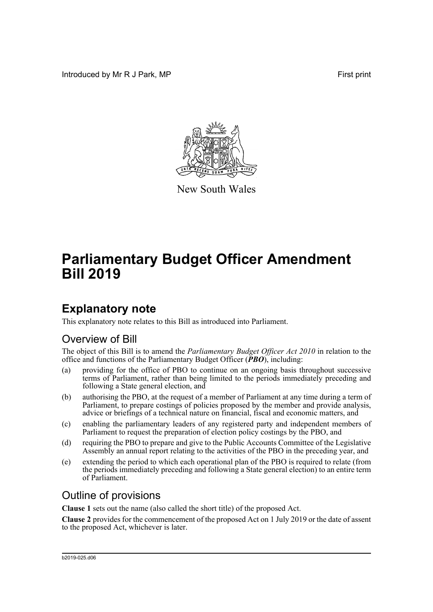Introduced by Mr R J Park, MP **First** print



New South Wales

# **Parliamentary Budget Officer Amendment Bill 2019**

## **Explanatory note**

This explanatory note relates to this Bill as introduced into Parliament.

#### Overview of Bill

The object of this Bill is to amend the *Parliamentary Budget Officer Act 2010* in relation to the office and functions of the Parliamentary Budget Officer (*PBO*), including:

- (a) providing for the office of PBO to continue on an ongoing basis throughout successive terms of Parliament, rather than being limited to the periods immediately preceding and following a State general election, and
- (b) authorising the PBO, at the request of a member of Parliament at any time during a term of Parliament, to prepare costings of policies proposed by the member and provide analysis, advice or briefings of a technical nature on financial, fiscal and economic matters, and
- (c) enabling the parliamentary leaders of any registered party and independent members of Parliament to request the preparation of election policy costings by the PBO, and
- (d) requiring the PBO to prepare and give to the Public Accounts Committee of the Legislative Assembly an annual report relating to the activities of the PBO in the preceding year, and
- (e) extending the period to which each operational plan of the PBO is required to relate (from the periods immediately preceding and following a State general election) to an entire term of Parliament.

#### Outline of provisions

**Clause 1** sets out the name (also called the short title) of the proposed Act.

**Clause 2** provides for the commencement of the proposed Act on 1 July 2019 or the date of assent to the proposed Act, whichever is later.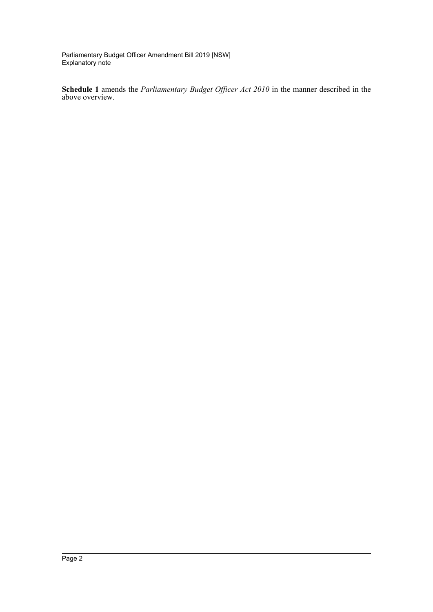**Schedule 1** amends the *Parliamentary Budget Officer Act 2010* in the manner described in the above overview.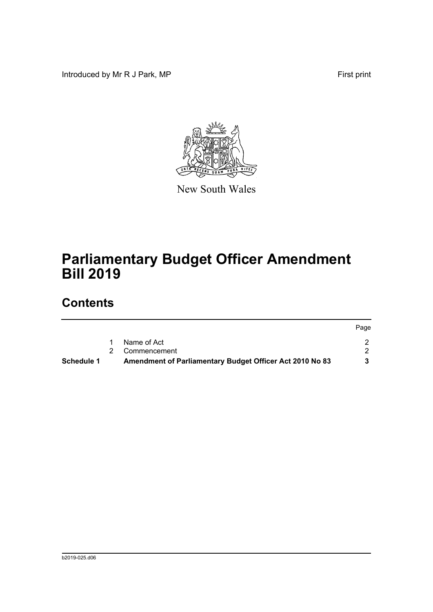Introduced by Mr R J Park, MP **First** print



New South Wales

# **Parliamentary Budget Officer Amendment Bill 2019**

### **Contents**

|            |                                                          | Page |
|------------|----------------------------------------------------------|------|
|            | Name of Act                                              |      |
|            | Commencement                                             |      |
| Schedule 1 | Amendment of Parliamentary Budget Officer Act 2010 No 83 |      |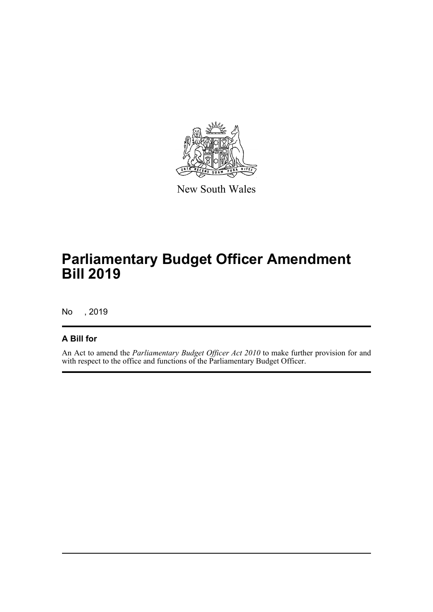

New South Wales

# **Parliamentary Budget Officer Amendment Bill 2019**

No , 2019

#### **A Bill for**

An Act to amend the *Parliamentary Budget Officer Act 2010* to make further provision for and with respect to the office and functions of the Parliamentary Budget Officer.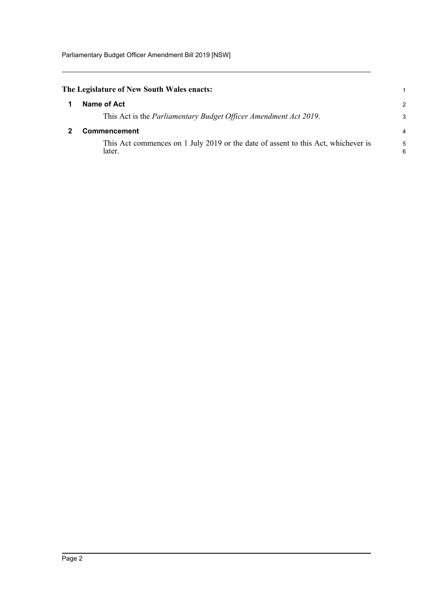Parliamentary Budget Officer Amendment Bill 2019 [NSW]

<span id="page-4-1"></span><span id="page-4-0"></span>

| The Legislature of New South Wales enacts:                                                  |        |  |
|---------------------------------------------------------------------------------------------|--------|--|
| Name of Act                                                                                 | 2      |  |
| This Act is the <i>Parliamentary Budget Officer Amendment Act 2019</i> .                    | 3      |  |
| <b>Commencement</b>                                                                         |        |  |
| This Act commences on 1 July 2019 or the date of assent to this Act, whichever is<br>later. | 5<br>6 |  |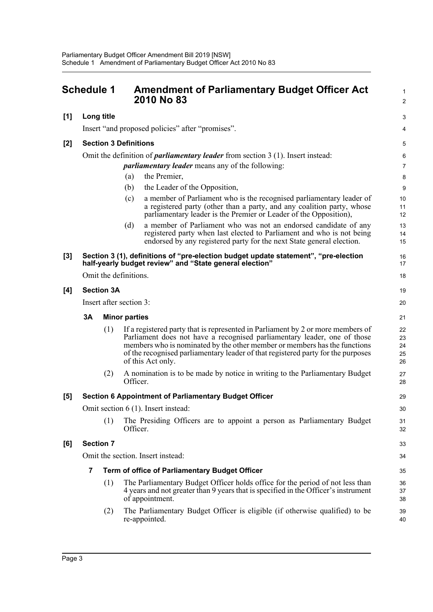<span id="page-5-0"></span>

|       | <b>Schedule 1</b>                                                                        |     | <b>Amendment of Parliamentary Budget Officer Act</b><br>2010 No 83                                                                                                                                                                                                                                                                                | 1<br>$\overline{2}$        |  |  |
|-------|------------------------------------------------------------------------------------------|-----|---------------------------------------------------------------------------------------------------------------------------------------------------------------------------------------------------------------------------------------------------------------------------------------------------------------------------------------------------|----------------------------|--|--|
| [1]   | Long title                                                                               |     |                                                                                                                                                                                                                                                                                                                                                   | 3                          |  |  |
|       | Insert "and proposed policies" after "promises".                                         |     |                                                                                                                                                                                                                                                                                                                                                   |                            |  |  |
| [2]   | <b>Section 3 Definitions</b>                                                             |     |                                                                                                                                                                                                                                                                                                                                                   |                            |  |  |
|       | Omit the definition of <i>parliamentary leader</i> from section $3(1)$ . Insert instead: |     |                                                                                                                                                                                                                                                                                                                                                   |                            |  |  |
|       |                                                                                          |     | <i>parliamentary leader</i> means any of the following:                                                                                                                                                                                                                                                                                           | $\overline{7}$             |  |  |
|       |                                                                                          |     | the Premier,<br>(a)                                                                                                                                                                                                                                                                                                                               | 8                          |  |  |
|       |                                                                                          |     | the Leader of the Opposition,<br>(b)                                                                                                                                                                                                                                                                                                              | 9                          |  |  |
|       |                                                                                          |     | a member of Parliament who is the recognised parliamentary leader of<br>(c)<br>a registered party (other than a party, and any coalition party, whose<br>parliamentary leader is the Premier or Leader of the Opposition),                                                                                                                        | 10<br>11<br>12             |  |  |
|       |                                                                                          |     | a member of Parliament who was not an endorsed candidate of any<br>(d)<br>registered party when last elected to Parliament and who is not being<br>endorsed by any registered party for the next State general election.                                                                                                                          | 13<br>14<br>15             |  |  |
| $[3]$ |                                                                                          |     | Section 3 (1), definitions of "pre-election budget update statement", "pre-election<br>half-yearly budget review" and "State general election"                                                                                                                                                                                                    | 16<br>17                   |  |  |
|       | Omit the definitions.                                                                    |     |                                                                                                                                                                                                                                                                                                                                                   |                            |  |  |
| [4]   | <b>Section 3A</b>                                                                        |     |                                                                                                                                                                                                                                                                                                                                                   |                            |  |  |
|       | Insert after section 3:                                                                  |     |                                                                                                                                                                                                                                                                                                                                                   |                            |  |  |
|       | <b>3A</b>                                                                                |     | <b>Minor parties</b>                                                                                                                                                                                                                                                                                                                              | 21                         |  |  |
|       |                                                                                          | (1) | If a registered party that is represented in Parliament by 2 or more members of<br>Parliament does not have a recognised parliamentary leader, one of those<br>members who is nominated by the other member or members has the functions<br>of the recognised parliamentary leader of that registered party for the purposes<br>of this Act only. | 22<br>23<br>24<br>25<br>26 |  |  |
|       |                                                                                          | (2) | A nomination is to be made by notice in writing to the Parliamentary Budget<br>Officer.                                                                                                                                                                                                                                                           | 27<br>28                   |  |  |
| [5]   | <b>Section 6 Appointment of Parliamentary Budget Officer</b>                             |     |                                                                                                                                                                                                                                                                                                                                                   |                            |  |  |
|       | Omit section 6 (1). Insert instead:                                                      |     |                                                                                                                                                                                                                                                                                                                                                   |                            |  |  |
|       |                                                                                          | (1) | The Presiding Officers are to appoint a person as Parliamentary Budget<br>Officer.                                                                                                                                                                                                                                                                | 31<br>32                   |  |  |
| [6]   | <b>Section 7</b>                                                                         |     |                                                                                                                                                                                                                                                                                                                                                   | 33                         |  |  |
|       | Omit the section. Insert instead:                                                        |     |                                                                                                                                                                                                                                                                                                                                                   |                            |  |  |
|       | 7<br><b>Term of office of Parliamentary Budget Officer</b>                               |     |                                                                                                                                                                                                                                                                                                                                                   |                            |  |  |
|       |                                                                                          | (1) | The Parliamentary Budget Officer holds office for the period of not less than<br>4 years and not greater than 9 years that is specified in the Officer's instrument<br>of appointment.                                                                                                                                                            | 36<br>37<br>38             |  |  |
|       |                                                                                          | (2) | The Parliamentary Budget Officer is eligible (if otherwise qualified) to be<br>re-appointed.                                                                                                                                                                                                                                                      | 39<br>40                   |  |  |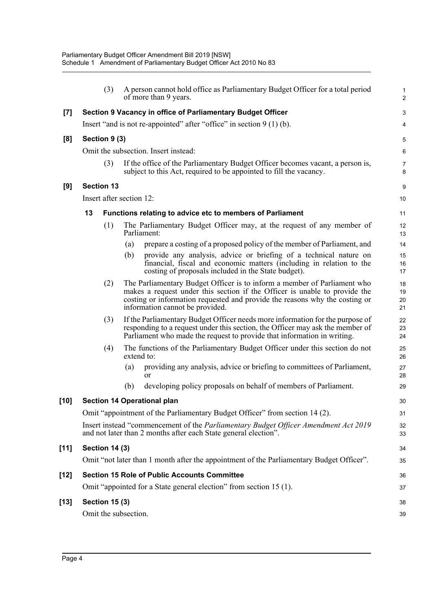|        |                                                                                                                                                        | (3)                                  |            | A person cannot hold office as Parliamentary Budget Officer for a total period<br>of more than 9 years.                                                                                                                                                                  | 1<br>$\overline{a}$  |  |  |
|--------|--------------------------------------------------------------------------------------------------------------------------------------------------------|--------------------------------------|------------|--------------------------------------------------------------------------------------------------------------------------------------------------------------------------------------------------------------------------------------------------------------------------|----------------------|--|--|
| [7]    |                                                                                                                                                        |                                      |            | Section 9 Vacancy in office of Parliamentary Budget Officer                                                                                                                                                                                                              | 3                    |  |  |
|        | Insert "and is not re-appointed" after "office" in section $9(1)(b)$ .                                                                                 |                                      |            |                                                                                                                                                                                                                                                                          |                      |  |  |
| [8]    | Section 9 (3)                                                                                                                                          |                                      |            |                                                                                                                                                                                                                                                                          |                      |  |  |
|        |                                                                                                                                                        | Omit the subsection. Insert instead: |            |                                                                                                                                                                                                                                                                          |                      |  |  |
|        |                                                                                                                                                        | (3)                                  |            | If the office of the Parliamentary Budget Officer becomes vacant, a person is,<br>subject to this Act, required to be appointed to fill the vacancy.                                                                                                                     | 7<br>8               |  |  |
| [9]    |                                                                                                                                                        | <b>Section 13</b>                    |            |                                                                                                                                                                                                                                                                          |                      |  |  |
|        | Insert after section 12:                                                                                                                               |                                      |            |                                                                                                                                                                                                                                                                          | 10                   |  |  |
|        | 13                                                                                                                                                     |                                      |            | <b>Functions relating to advice etc to members of Parliament</b>                                                                                                                                                                                                         | 11                   |  |  |
|        |                                                                                                                                                        | (1)                                  |            | The Parliamentary Budget Officer may, at the request of any member of<br>Parliament:                                                                                                                                                                                     | 12<br>13             |  |  |
|        |                                                                                                                                                        |                                      | (a)        | prepare a costing of a proposed policy of the member of Parliament, and                                                                                                                                                                                                  | 14                   |  |  |
|        |                                                                                                                                                        |                                      | (b)        | provide any analysis, advice or briefing of a technical nature on<br>financial, fiscal and economic matters (including in relation to the<br>costing of proposals included in the State budget).                                                                         | 15<br>16<br>17       |  |  |
|        |                                                                                                                                                        | (2)                                  |            | The Parliamentary Budget Officer is to inform a member of Parliament who<br>makes a request under this section if the Officer is unable to provide the<br>costing or information requested and provide the reasons why the costing or<br>information cannot be provided. | 18<br>19<br>20<br>21 |  |  |
|        |                                                                                                                                                        | (3)                                  |            | If the Parliamentary Budget Officer needs more information for the purpose of<br>responding to a request under this section, the Officer may ask the member of<br>Parliament who made the request to provide that information in writing.                                | 22<br>23<br>24       |  |  |
|        |                                                                                                                                                        | (4)                                  | extend to: | The functions of the Parliamentary Budget Officer under this section do not                                                                                                                                                                                              | 25<br>26             |  |  |
|        |                                                                                                                                                        |                                      | (a)        | providing any analysis, advice or briefing to committees of Parliament,<br><b>or</b>                                                                                                                                                                                     | 27<br>28             |  |  |
|        |                                                                                                                                                        |                                      | (b)        | developing policy proposals on behalf of members of Parliament.                                                                                                                                                                                                          | 29                   |  |  |
| $[10]$ | <b>Section 14 Operational plan</b>                                                                                                                     |                                      |            |                                                                                                                                                                                                                                                                          |                      |  |  |
|        | Omit "appointment of the Parliamentary Budget Officer" from section 14 (2).                                                                            |                                      |            |                                                                                                                                                                                                                                                                          |                      |  |  |
|        | Insert instead "commencement of the Parliamentary Budget Officer Amendment Act 2019<br>and not later than 2 months after each State general election". |                                      |            |                                                                                                                                                                                                                                                                          | 32<br>33             |  |  |
| $[11]$ | <b>Section 14 (3)</b>                                                                                                                                  |                                      |            |                                                                                                                                                                                                                                                                          | 34                   |  |  |
|        |                                                                                                                                                        |                                      |            | Omit "not later than 1 month after the appointment of the Parliamentary Budget Officer".                                                                                                                                                                                 | 35                   |  |  |
| $[12]$ | <b>Section 15 Role of Public Accounts Committee</b>                                                                                                    |                                      |            |                                                                                                                                                                                                                                                                          | 36                   |  |  |
|        |                                                                                                                                                        |                                      |            | Omit "appointed for a State general election" from section 15 (1).                                                                                                                                                                                                       | 37                   |  |  |
| $[13]$ | <b>Section 15 (3)</b>                                                                                                                                  |                                      |            |                                                                                                                                                                                                                                                                          | 38                   |  |  |
|        | Omit the subsection.                                                                                                                                   |                                      |            |                                                                                                                                                                                                                                                                          | 39                   |  |  |
|        |                                                                                                                                                        |                                      |            |                                                                                                                                                                                                                                                                          |                      |  |  |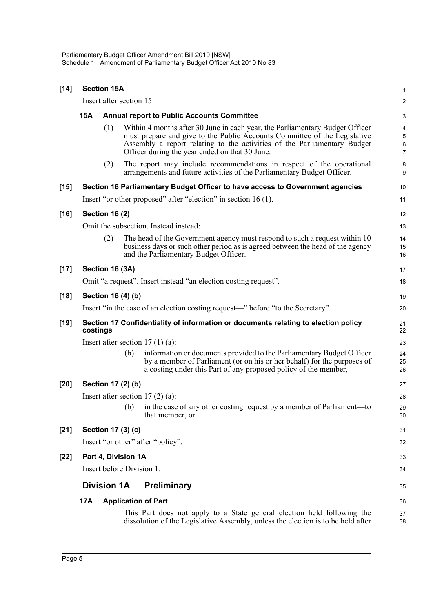| $[14]$ | <b>Section 15A</b>                                                                             |                    |                                                                                                                                                                                                                                                                                         |                               |  |  |
|--------|------------------------------------------------------------------------------------------------|--------------------|-----------------------------------------------------------------------------------------------------------------------------------------------------------------------------------------------------------------------------------------------------------------------------------------|-------------------------------|--|--|
|        | Insert after section 15:                                                                       |                    |                                                                                                                                                                                                                                                                                         |                               |  |  |
|        | 15A                                                                                            |                    | <b>Annual report to Public Accounts Committee</b>                                                                                                                                                                                                                                       |                               |  |  |
|        |                                                                                                | (1)                | Within 4 months after 30 June in each year, the Parliamentary Budget Officer<br>must prepare and give to the Public Accounts Committee of the Legislative<br>Assembly a report relating to the activities of the Parliamentary Budget<br>Officer during the year ended on that 30 June. | 4<br>5<br>6<br>$\overline{7}$ |  |  |
|        |                                                                                                | (2)                | The report may include recommendations in respect of the operational<br>arrangements and future activities of the Parliamentary Budget Officer.                                                                                                                                         | 8<br>9                        |  |  |
| $[15]$ |                                                                                                |                    | Section 16 Parliamentary Budget Officer to have access to Government agencies                                                                                                                                                                                                           | 10                            |  |  |
|        |                                                                                                |                    | Insert "or other proposed" after "election" in section $16(1)$ .                                                                                                                                                                                                                        | 11                            |  |  |
| $[16]$ | <b>Section 16 (2)</b>                                                                          |                    |                                                                                                                                                                                                                                                                                         | 12                            |  |  |
|        |                                                                                                |                    | Omit the subsection. Instead instead:                                                                                                                                                                                                                                                   | 13                            |  |  |
|        |                                                                                                | (2)                | The head of the Government agency must respond to such a request within 10<br>business days or such other period as is agreed between the head of the agency<br>and the Parliamentary Budget Officer.                                                                                   | 14<br>15<br>16                |  |  |
| $[17]$ |                                                                                                | Section 16 (3A)    |                                                                                                                                                                                                                                                                                         | 17                            |  |  |
|        | Omit "a request". Insert instead "an election costing request".                                |                    |                                                                                                                                                                                                                                                                                         |                               |  |  |
| $[18]$ |                                                                                                | Section 16 (4) (b) |                                                                                                                                                                                                                                                                                         | 19                            |  |  |
|        | Insert "in the case of an election costing request—" before "to the Secretary".                |                    |                                                                                                                                                                                                                                                                                         |                               |  |  |
| $[19]$ | Section 17 Confidentiality of information or documents relating to election policy<br>costings |                    |                                                                                                                                                                                                                                                                                         |                               |  |  |
|        | Insert after section $17(1)(a)$ :                                                              |                    |                                                                                                                                                                                                                                                                                         |                               |  |  |
|        |                                                                                                | (b)                | information or documents provided to the Parliamentary Budget Officer<br>by a member of Parliament (or on his or her behalf) for the purposes of<br>a costing under this Part of any proposed policy of the member,                                                                     | 24<br>25<br>26                |  |  |
| [20]   |                                                                                                | Section 17 (2) (b) |                                                                                                                                                                                                                                                                                         | 27                            |  |  |
|        | Insert after section $17(2)(a)$ :                                                              |                    |                                                                                                                                                                                                                                                                                         |                               |  |  |
|        |                                                                                                |                    | (b) in the case of any other costing request by a member of Parliament—to<br>that member, or                                                                                                                                                                                            | 29<br>30                      |  |  |
| $[21]$ | Section 17 (3) (c)                                                                             |                    |                                                                                                                                                                                                                                                                                         |                               |  |  |
|        | Insert "or other" after "policy".                                                              |                    |                                                                                                                                                                                                                                                                                         |                               |  |  |
| $[22]$ | Part 4, Division 1A                                                                            |                    |                                                                                                                                                                                                                                                                                         |                               |  |  |
|        | Insert before Division 1:                                                                      |                    |                                                                                                                                                                                                                                                                                         |                               |  |  |
|        | <b>Division 1A</b>                                                                             |                    | <b>Preliminary</b>                                                                                                                                                                                                                                                                      | 35                            |  |  |
|        | 17A                                                                                            |                    | <b>Application of Part</b>                                                                                                                                                                                                                                                              | 36                            |  |  |
|        |                                                                                                |                    | This Part does not apply to a State general election held following the<br>dissolution of the Legislative Assembly, unless the election is to be held after                                                                                                                             | 37<br>38                      |  |  |